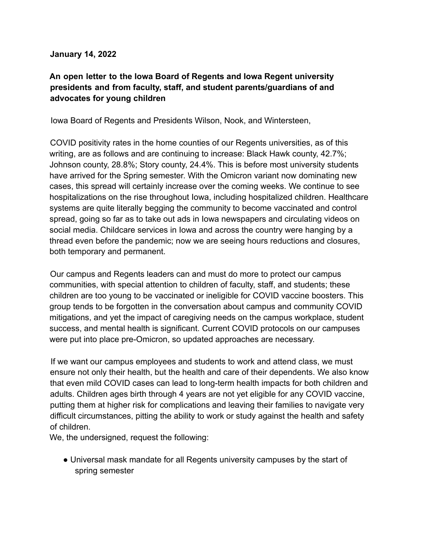## **January 14, 2022**

## **An open letter to the Iowa Board of Regents and Iowa Regent university presidents and from faculty, staff, and student parents/guardians of and advocates for young children**

Iowa Board of Regents and Presidents Wilson, Nook, and Wintersteen,

COVID positivity rates in the home counties of our Regents universities, as of this writing, are as follows and are continuing to increase: Black Hawk county, 42.7%; Johnson county, 28.8%; Story county, 24.4%. This is before most university students have arrived for the Spring semester. With the Omicron variant now dominating new cases, this spread will certainly increase over the coming weeks. We continue to see hospitalizations on the rise throughout Iowa, including hospitalized children. Healthcare systems are quite literally begging the community to become vaccinated and control spread, going so far as to take out ads in Iowa newspapers and circulating videos on social media. Childcare services in Iowa and across the country were hanging by a thread even before the pandemic; now we are seeing hours reductions and closures, both temporary and permanent.

Our campus and Regents leaders can and must do more to protect our campus communities, with special attention to children of faculty, staff, and students; these children are too young to be vaccinated or ineligible for COVID vaccine boosters. This group tends to be forgotten in the conversation about campus and community COVID mitigations, and yet the impact of caregiving needs on the campus workplace, student success, and mental health is significant. Current COVID protocols on our campuses were put into place pre-Omicron, so updated approaches are necessary.

If we want our campus employees and students to work and attend class, we must ensure not only their health, but the health and care of their dependents. We also know that even mild COVID cases can lead to long-term health impacts for both children and adults. Children ages birth through 4 years are not yet eligible for any COVID vaccine, putting them at higher risk for complications and leaving their families to navigate very difficult circumstances, pitting the ability to work or study against the health and safety of children.

We, the undersigned, request the following:

• Universal mask mandate for all Regents university campuses by the start of spring semester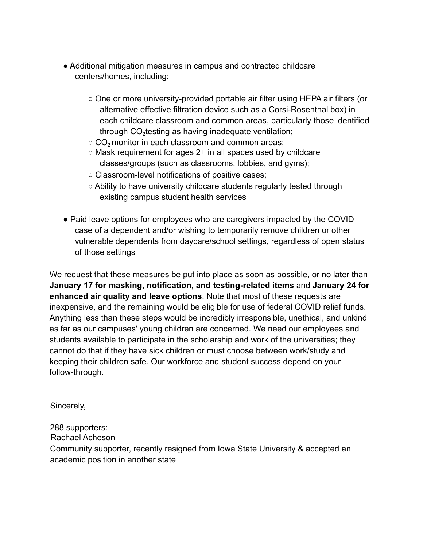- Additional mitigation measures in campus and contracted childcare centers/homes, including:
	- One or more university-provided portable air filter using HEPA air filters (or alternative effective filtration device such as a Corsi-Rosenthal box) in each childcare classroom and common areas, particularly those identified through  $CO<sub>2</sub>$ testing as having inadequate ventilation;
	- $\circ$  CO<sub>2</sub> monitor in each classroom and common areas;
	- $\circ$  Mask requirement for ages 2+ in all spaces used by childcare classes/groups (such as classrooms, lobbies, and gyms);
	- Classroom-level notifications of positive cases;
	- Ability to have university childcare students regularly tested through existing campus student health services
- Paid leave options for employees who are caregivers impacted by the COVID case of a dependent and/or wishing to temporarily remove children or other vulnerable dependents from daycare/school settings, regardless of open status of those settings

We request that these measures be put into place as soon as possible, or no later than **January 17 for masking, notification, and testing-related items** and **January 24 for enhanced air quality and leave options**. Note that most of these requests are inexpensive, and the remaining would be eligible for use of federal COVID relief funds. Anything less than these steps would be incredibly irresponsible, unethical, and unkind as far as our campuses' young children are concerned. We need our employees and students available to participate in the scholarship and work of the universities; they cannot do that if they have sick children or must choose between work/study and keeping their children safe. Our workforce and student success depend on your follow-through.

Sincerely,

288 supporters:

Rachael Acheson

Community supporter, recently resigned from Iowa State University & accepted an academic position in another state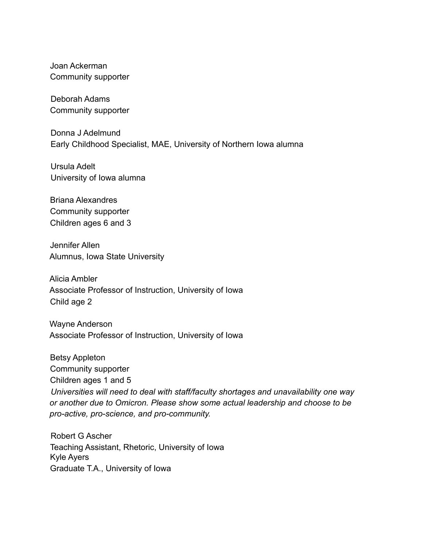Joan Ackerman Community supporter

Deborah Adams Community supporter

Donna J Adelmund Early Childhood Specialist, MAE, University of Northern Iowa alumna

Ursula Adelt University of Iowa alumna

Briana Alexandres Community supporter Children ages 6 and 3

Jennifer Allen Alumnus, Iowa State University

Alicia Ambler Associate Professor of Instruction, University of Iowa Child age 2

Wayne Anderson Associate Professor of Instruction, University of Iowa

Betsy Appleton Community supporter Children ages 1 and 5 *Universities will need to deal with staff/faculty shortages and unavailability one way or another due to Omicron. Please show some actual leadership and choose to be pro-active, pro-science, and pro-community.*

Robert G Ascher Teaching Assistant, Rhetoric, University of Iowa Kyle Ayers Graduate T.A., University of Iowa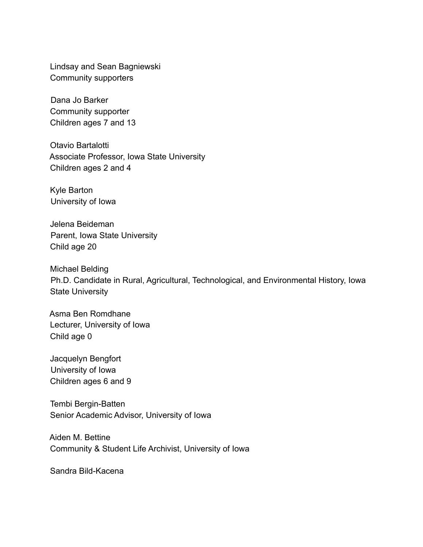Lindsay and Sean Bagniewski Community supporters

Dana Jo Barker Community supporter Children ages 7 and 13

Otavio Bartalotti Associate Professor, Iowa State University Children ages 2 and 4

Kyle Barton University of Iowa

Jelena Beideman Parent, Iowa State University Child age 20

Michael Belding Ph.D. Candidate in Rural, Agricultural, Technological, and Environmental History, Iowa State University

Asma Ben Romdhane Lecturer, University of Iowa Child age 0

Jacquelyn Bengfort University of Iowa Children ages 6 and 9

Tembi Bergin-Batten Senior Academic Advisor, University of Iowa

Aiden M. Bettine Community & Student Life Archivist, University of Iowa

Sandra Bild-Kacena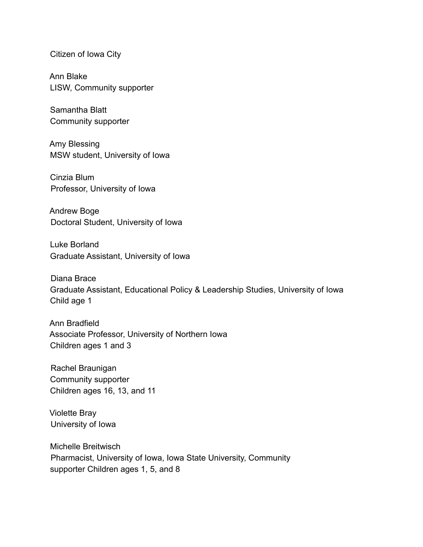Citizen of Iowa City

Ann Blake LISW, Community supporter

Samantha Blatt Community supporter

Amy Blessing MSW student, University of Iowa

Cinzia Blum Professor, University of Iowa

Andrew Boge Doctoral Student, University of Iowa

Luke Borland Graduate Assistant, University of Iowa

Diana Brace Graduate Assistant, Educational Policy & Leadership Studies, University of Iowa Child age 1

Ann Bradfield Associate Professor, University of Northern Iowa Children ages 1 and 3

Rachel Braunigan Community supporter Children ages 16, 13, and 11

Violette Bray University of Iowa

Michelle Breitwisch Pharmacist, University of Iowa, Iowa State University, Community supporter Children ages 1, 5, and 8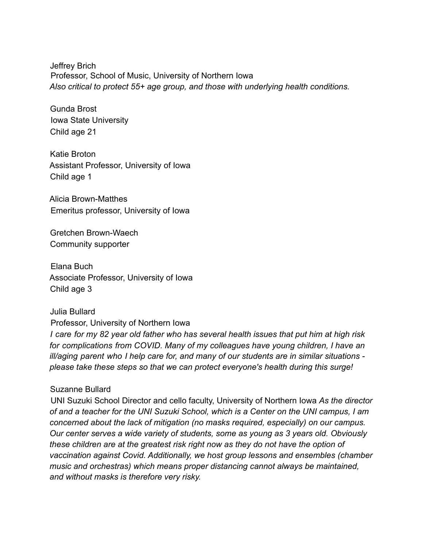Jeffrey Brich Professor, School of Music, University of Northern Iowa *Also critical to protect 55+ age group, and those with underlying health conditions.*

Gunda Brost Iowa State University Child age 21

Katie Broton Assistant Professor, University of Iowa Child age 1

Alicia Brown-Matthes Emeritus professor, University of Iowa

Gretchen Brown-Waech Community supporter

Elana Buch Associate Professor, University of Iowa Child age 3

Julia Bullard Professor, University of Northern Iowa *I care for my 82 year old father who has several health issues that put him at high risk for complications from COVID. Many of my colleagues have young children, I have an ill/aging parent who I help care for, and many of our students are in similar situations please take these steps so that we can protect everyone's health during this surge!*

## Suzanne Bullard

UNI Suzuki School Director and cello faculty, University of Northern Iowa *As the director of and a teacher for the UNI Suzuki School, which is a Center on the UNI campus, I am concerned about the lack of mitigation (no masks required, especially) on our campus. Our center serves a wide variety of students, some as young as 3 years old. Obviously these children are at the greatest risk right now as they do not have the option of vaccination against Covid. Additionally, we host group lessons and ensembles (chamber music and orchestras) which means proper distancing cannot always be maintained, and without masks is therefore very risky.*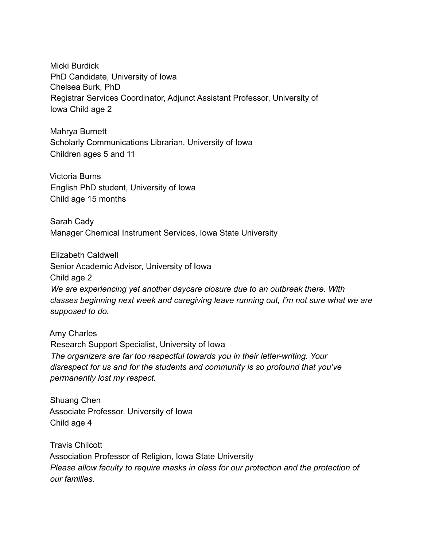Micki Burdick PhD Candidate, University of Iowa Chelsea Burk, PhD Registrar Services Coordinator, Adjunct Assistant Professor, University of Iowa Child age 2

Mahrya Burnett Scholarly Communications Librarian, University of Iowa Children ages 5 and 11

Victoria Burns English PhD student, University of Iowa Child age 15 months

Sarah Cady Manager Chemical Instrument Services, Iowa State University

Elizabeth Caldwell Senior Academic Advisor, University of Iowa Child age 2 *We are experiencing yet another daycare closure due to an outbreak there. With classes beginning next week and caregiving leave running out, I'm not sure what we are supposed to do.*

Amy Charles Research Support Specialist, University of Iowa *The organizers are far too respectful towards you in their letter-writing. Your disrespect for us and for the students and community is so profound that you've permanently lost my respect.*

Shuang Chen Associate Professor, University of Iowa Child age 4

Travis Chilcott Association Professor of Religion, Iowa State University *Please allow faculty to require masks in class for our protection and the protection of our families.*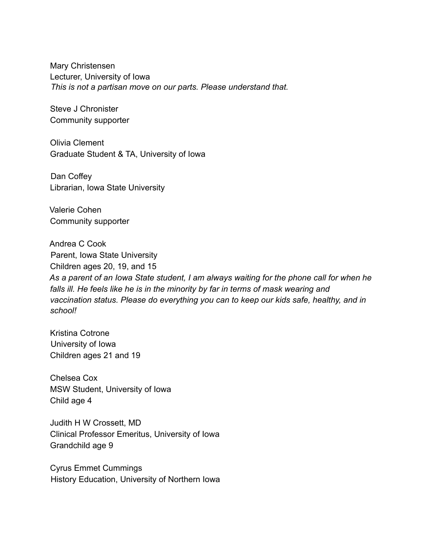Mary Christensen Lecturer, University of Iowa *This is not a partisan move on our parts. Please understand that.*

Steve J Chronister Community supporter

Olivia Clement Graduate Student & TA, University of Iowa

Dan Coffey Librarian, Iowa State University

Valerie Cohen Community supporter

Andrea C Cook Parent, Iowa State University Children ages 20, 19, and 15

*As a parent of an Iowa State student, I am always waiting for the phone call for when he falls ill. He feels like he is in the minority by far in terms of mask wearing and vaccination status. Please do everything you can to keep our kids safe, healthy, and in school!*

Kristina Cotrone University of Iowa Children ages 21 and 19

Chelsea Cox MSW Student, University of Iowa Child age 4

Judith H W Crossett, MD Clinical Professor Emeritus, University of Iowa Grandchild age 9

Cyrus Emmet Cummings History Education, University of Northern Iowa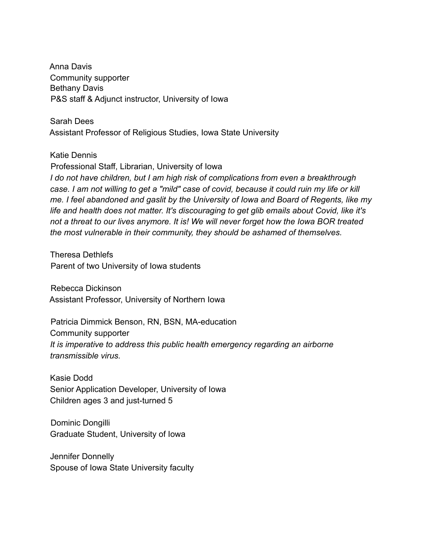Anna Davis Community supporter Bethany Davis P&S staff & Adjunct instructor, University of Iowa

Sarah Dees Assistant Professor of Religious Studies, Iowa State University

Katie Dennis

Professional Staff, Librarian, University of Iowa *I do not have children, but I am high risk of complications from even a breakthrough case. I am not willing to get a "mild" case of covid, because it could ruin my life or kill me. I feel abandoned and gaslit by the University of Iowa and Board of Regents, like my life and health does not matter. It's discouraging to get glib emails about Covid, like it's not a threat to our lives anymore. It is! We will never forget how the Iowa BOR treated the most vulnerable in their community, they should be ashamed of themselves.*

Theresa Dethlefs Parent of two University of Iowa students

Rebecca Dickinson Assistant Professor, University of Northern Iowa

Patricia Dimmick Benson, RN, BSN, MA-education Community supporter *It is imperative to address this public health emergency regarding an airborne transmissible virus.*

Kasie Dodd Senior Application Developer, University of Iowa Children ages 3 and just-turned 5

Dominic Dongilli Graduate Student, University of Iowa

Jennifer Donnelly Spouse of Iowa State University faculty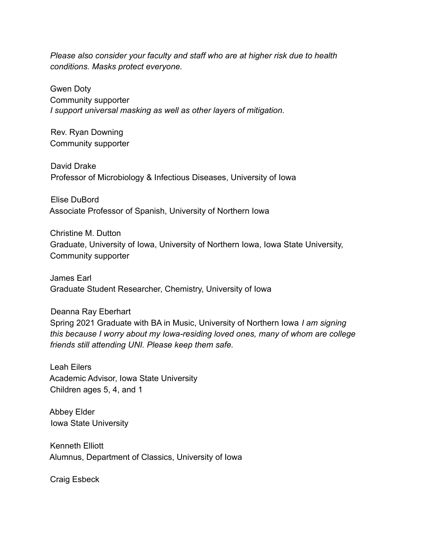*Please also consider your faculty and staff who are at higher risk due to health conditions. Masks protect everyone.*

Gwen Doty Community supporter *I support universal masking as well as other layers of mitigation.*

Rev. Ryan Downing Community supporter

David Drake Professor of Microbiology & Infectious Diseases, University of Iowa

Elise DuBord Associate Professor of Spanish, University of Northern Iowa

Christine M. Dutton Graduate, University of Iowa, University of Northern Iowa, Iowa State University, Community supporter

James Earl Graduate Student Researcher, Chemistry, University of Iowa

Deanna Ray Eberhart Spring 2021 Graduate with BA in Music, University of Northern Iowa *I am signing this because I worry about my Iowa-residing loved ones, many of whom are college friends still attending UNI. Please keep them safe.*

Leah Eilers Academic Advisor, Iowa State University Children ages 5, 4, and 1

Abbey Elder Iowa State University

Kenneth Elliott Alumnus, Department of Classics, University of Iowa

Craig Esbeck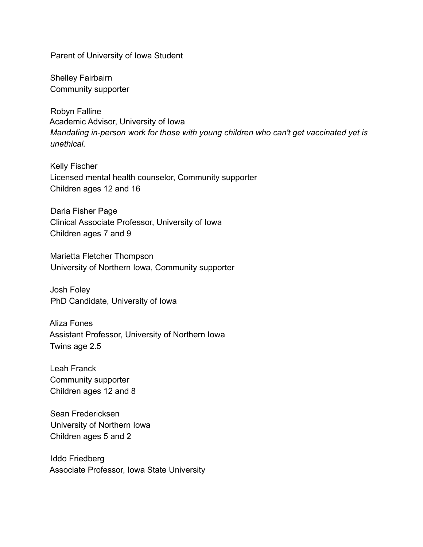Parent of University of Iowa Student

Shelley Fairbairn Community supporter

Robyn Falline Academic Advisor, University of Iowa *Mandating in-person work for those with young children who can't get vaccinated yet is unethical.*

Kelly Fischer Licensed mental health counselor, Community supporter Children ages 12 and 16

Daria Fisher Page Clinical Associate Professor, University of Iowa Children ages 7 and 9

Marietta Fletcher Thompson University of Northern Iowa, Community supporter

Josh Foley PhD Candidate, University of Iowa

Aliza Fones Assistant Professor, University of Northern Iowa Twins age 2.5

Leah Franck Community supporter Children ages 12 and 8

Sean Fredericksen University of Northern Iowa Children ages 5 and 2

Iddo Friedberg Associate Professor, Iowa State University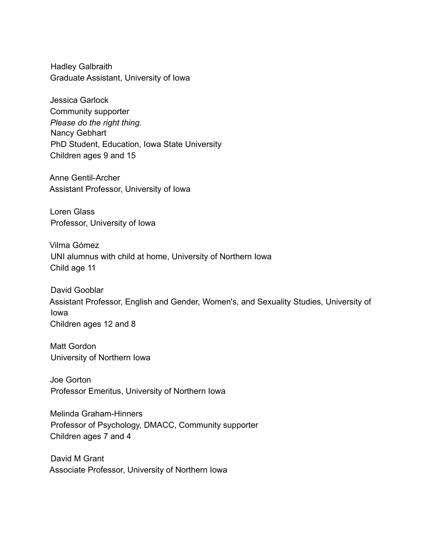Hadley Galbraith Graduate Assistant, University of Iowa

Jessica Garlock Community supporter *Please do the right thing.* Nancy Gebhart PhD Student, Education, Iowa State University Children ages 9 and 15

Anne Gentil-Archer Assistant Professor, University of Iowa

Loren Glass Professor, University of Iowa

Vilma Gómez UNI alumnus with child at home, University of Northern Iowa Child age 11

David Gooblar Assistant Professor, English and Gender, Women's, and Sexuality Studies, University of Iowa Children ages 12 and 8

Matt Gordon University of Northern Iowa

Joe Gorton Professor Emeritus, University of Northern Iowa

Melinda Graham-Hinners Professor of Psychology, DMACC, Community supporter Children ages 7 and 4

David M Grant Associate Professor, University of Northern Iowa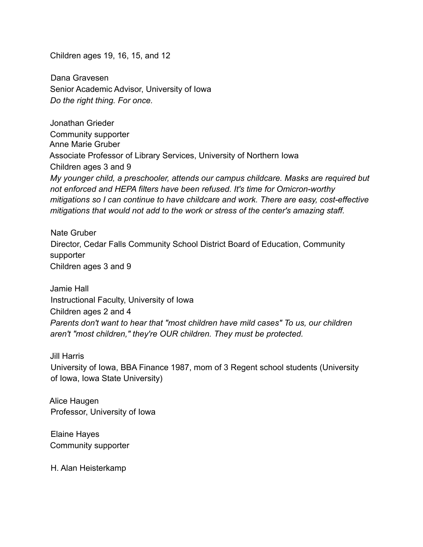Children ages 19, 16, 15, and 12

Dana Gravesen Senior Academic Advisor, University of Iowa *Do the right thing. For once.*

Jonathan Grieder Community supporter Anne Marie Gruber Associate Professor of Library Services, University of Northern Iowa Children ages 3 and 9 *My younger child, a preschooler, attends our campus childcare. Masks are required but not enforced and HEPA filters have been refused. It's time for Omicron-worthy mitigations so I can continue to have childcare and work. There are easy, cost-effective mitigations that would not add to the work or stress of the center's amazing staff.*

Nate Gruber Director, Cedar Falls Community School District Board of Education, Community supporter Children ages 3 and 9

Jamie Hall Instructional Faculty, University of Iowa Children ages 2 and 4 *Parents don't want to hear that "most children have mild cases" To us, our children aren't "most children," they're OUR children. They must be protected.*

Jill Harris

University of Iowa, BBA Finance 1987, mom of 3 Regent school students (University of Iowa, Iowa State University)

Alice Haugen Professor, University of Iowa

Elaine Hayes Community supporter

H. Alan Heisterkamp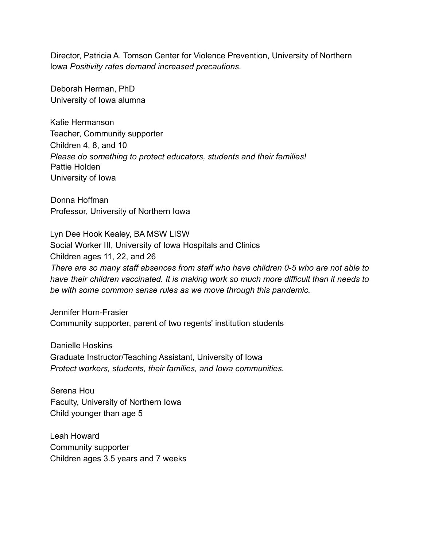Director, Patricia A. Tomson Center for Violence Prevention, University of Northern Iowa *Positivity rates demand increased precautions.*

Deborah Herman, PhD University of Iowa alumna

Katie Hermanson Teacher, Community supporter Children 4, 8, and 10 *Please do something to protect educators, students and their families!* Pattie Holden University of Iowa

Donna Hoffman Professor, University of Northern Iowa

Lyn Dee Hook Kealey, BA MSW LISW Social Worker III, University of Iowa Hospitals and Clinics Children ages 11, 22, and 26 *There are so many staff absences from staff who have children 0-5 who are not able to have their children vaccinated. It is making work so much more difficult than it needs to be with some common sense rules as we move through this pandemic.*

Jennifer Horn-Frasier Community supporter, parent of two regents' institution students

Danielle Hoskins Graduate Instructor/Teaching Assistant, University of Iowa *Protect workers, students, their families, and Iowa communities.*

Serena Hou Faculty, University of Northern Iowa Child younger than age 5

Leah Howard Community supporter Children ages 3.5 years and 7 weeks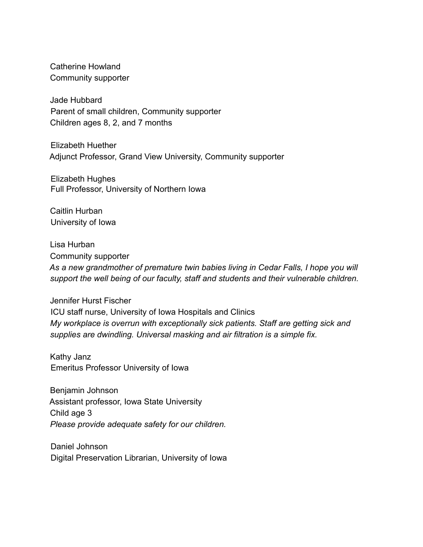Catherine Howland Community supporter

Jade Hubbard Parent of small children, Community supporter Children ages 8, 2, and 7 months

Elizabeth Huether Adjunct Professor, Grand View University, Community supporter

Elizabeth Hughes Full Professor, University of Northern Iowa

Caitlin Hurban University of Iowa

Lisa Hurban Community supporter *As a new grandmother of premature twin babies living in Cedar Falls, I hope you will support the well being of our faculty, staff and students and their vulnerable children.*

Jennifer Hurst Fischer ICU staff nurse, University of Iowa Hospitals and Clinics *My workplace is overrun with exceptionally sick patients. Staff are getting sick and supplies are dwindling. Universal masking and air filtration is a simple fix.*

Kathy Janz Emeritus Professor University of Iowa

Benjamin Johnson Assistant professor, Iowa State University Child age 3 *Please provide adequate safety for our children.*

Daniel Johnson Digital Preservation Librarian, University of Iowa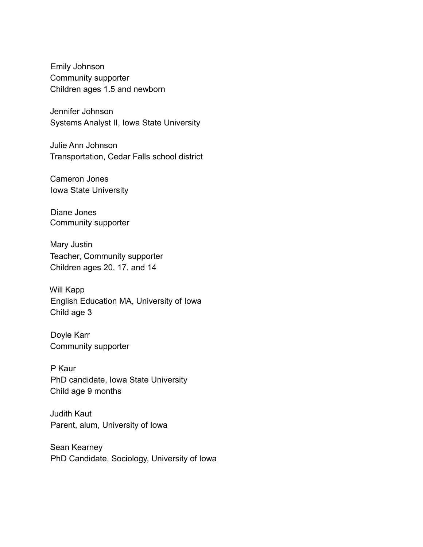Emily Johnson Community supporter Children ages 1.5 and newborn

Jennifer Johnson Systems Analyst II, Iowa State University

Julie Ann Johnson Transportation, Cedar Falls school district

Cameron Jones Iowa State University

Diane Jones Community supporter

Mary Justin Teacher, Community supporter Children ages 20, 17, and 14

Will Kapp English Education MA, University of Iowa Child age 3

Doyle Karr Community supporter

P Kaur PhD candidate, Iowa State University Child age 9 months

Judith Kaut Parent, alum, University of Iowa

Sean Kearney PhD Candidate, Sociology, University of Iowa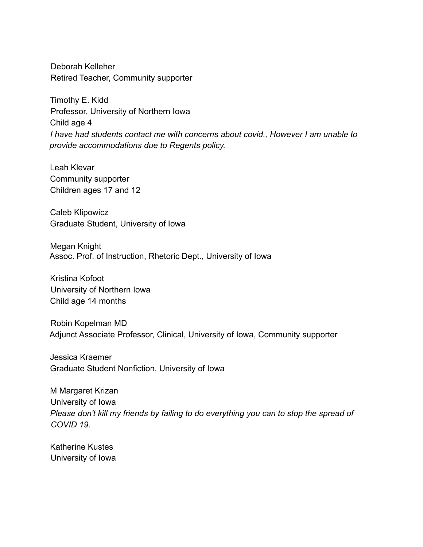Deborah Kelleher Retired Teacher, Community supporter

Timothy E. Kidd Professor, University of Northern Iowa Child age 4 *I have had students contact me with concerns about covid., However I am unable to provide accommodations due to Regents policy.*

Leah Klevar Community supporter Children ages 17 and 12

Caleb Klipowicz Graduate Student, University of Iowa

Megan Knight Assoc. Prof. of Instruction, Rhetoric Dept., University of Iowa

Kristina Kofoot University of Northern Iowa Child age 14 months

Robin Kopelman MD Adjunct Associate Professor, Clinical, University of Iowa, Community supporter

Jessica Kraemer Graduate Student Nonfiction, University of Iowa

M Margaret Krizan University of Iowa *Please don't kill my friends by failing to do everything you can to stop the spread of COVID 19.*

Katherine Kustes University of Iowa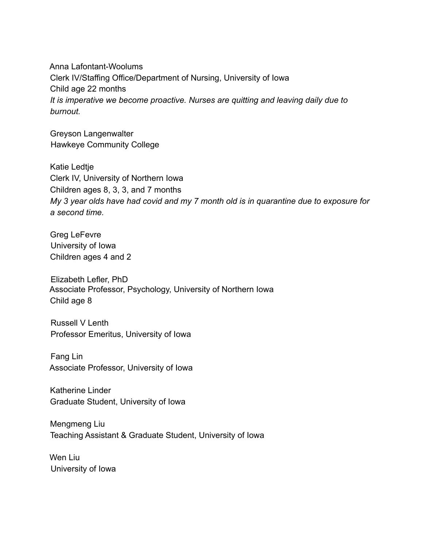Anna Lafontant-Woolums Clerk IV/Staffing Office/Department of Nursing, University of Iowa Child age 22 months *It is imperative we become proactive. Nurses are quitting and leaving daily due to burnout.*

Greyson Langenwalter Hawkeye Community College

Katie Ledtje Clerk IV, University of Northern Iowa Children ages 8, 3, 3, and 7 months *My 3 year olds have had covid and my 7 month old is in quarantine due to exposure for a second time.*

Greg LeFevre University of Iowa Children ages 4 and 2

Elizabeth Lefler, PhD Associate Professor, Psychology, University of Northern Iowa Child age 8

Russell V Lenth Professor Emeritus, University of Iowa

Fang Lin Associate Professor, University of Iowa

Katherine Linder Graduate Student, University of Iowa

Mengmeng Liu Teaching Assistant & Graduate Student, University of Iowa

Wen Liu University of Iowa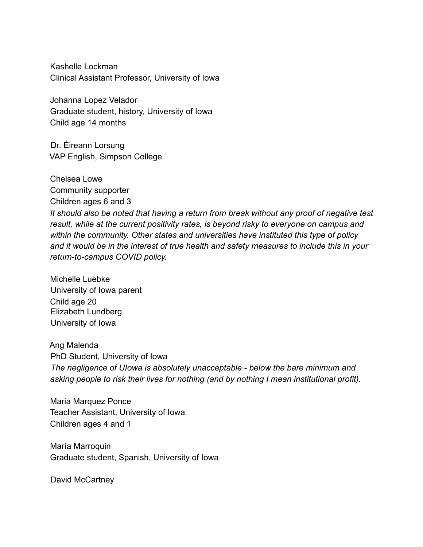Kashelle Lockman Clinical Assistant Professor, University of Iowa

Johanna Lopez Velador Graduate student, history, University of Iowa Child age 14 months

Dr. Éireann Lorsung VAP English, Simpson College

Chelsea Lowe Community supporter Children ages 6 and 3 *It should also be noted that having a return from break without any proof of negative test result, while at the current positivity rates, is beyond risky to everyone on campus and within the community. Other states and universities have instituted this type of policy and it would be in the interest of true health and safety measures to include this in your return-to-campus COVID policy.*

Michelle Luebke University of Iowa parent Child age 20 Elizabeth Lundberg University of Iowa

Ang Malenda PhD Student, University of Iowa *The negligence of UIowa is absolutely unacceptable - below the bare minimum and asking people to risk their lives for nothing (and by nothing I mean institutional profit).*

Maria Marquez Ponce Teacher Assistant, University of Iowa Children ages 4 and 1

María Marroquin Graduate student, Spanish, University of Iowa

David McCartney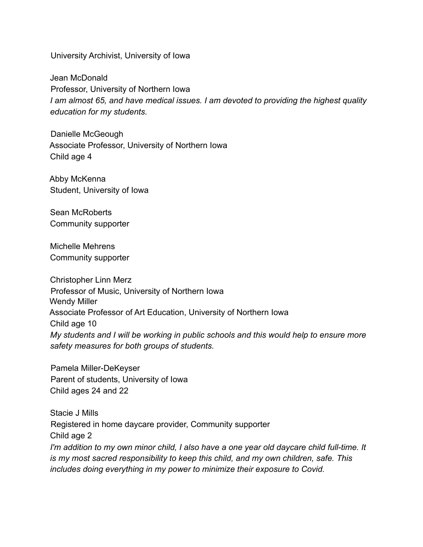University Archivist, University of Iowa

Jean McDonald Professor, University of Northern Iowa *I am almost 65, and have medical issues. I am devoted to providing the highest quality education for my students.*

Danielle McGeough Associate Professor, University of Northern Iowa Child age 4

Abby McKenna Student, University of Iowa

Sean McRoberts Community supporter

Michelle Mehrens Community supporter

Christopher Linn Merz Professor of Music, University of Northern Iowa Wendy Miller Associate Professor of Art Education, University of Northern Iowa Child age 10 *My students and I will be working in public schools and this would help to ensure more safety measures for both groups of students.*

Pamela Miller-DeKeyser Parent of students, University of Iowa Child ages 24 and 22

Stacie J Mills Registered in home daycare provider, Community supporter Child age 2 *I'm addition to my own minor child, I also have a one year old daycare child full-time. It is my most sacred responsibility to keep this child, and my own children, safe. This includes doing everything in my power to minimize their exposure to Covid.*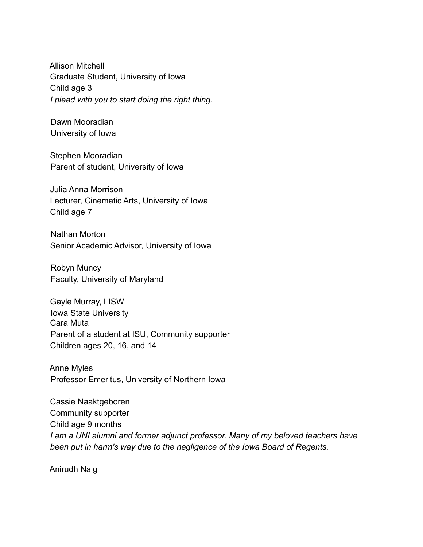Allison Mitchell Graduate Student, University of Iowa Child age 3 *I plead with you to start doing the right thing.*

Dawn Mooradian University of Iowa

Stephen Mooradian Parent of student, University of Iowa

Julia Anna Morrison Lecturer, Cinematic Arts, University of Iowa Child age 7

Nathan Morton Senior Academic Advisor, University of Iowa

Robyn Muncy Faculty, University of Maryland

Gayle Murray, LISW Iowa State University Cara Muta Parent of a student at ISU, Community supporter Children ages 20, 16, and 14

Anne Myles Professor Emeritus, University of Northern Iowa

Cassie Naaktgeboren Community supporter Child age 9 months *I am a UNI alumni and former adjunct professor. Many of my beloved teachers have been put in harm's way due to the negligence of the Iowa Board of Regents.*

Anirudh Naig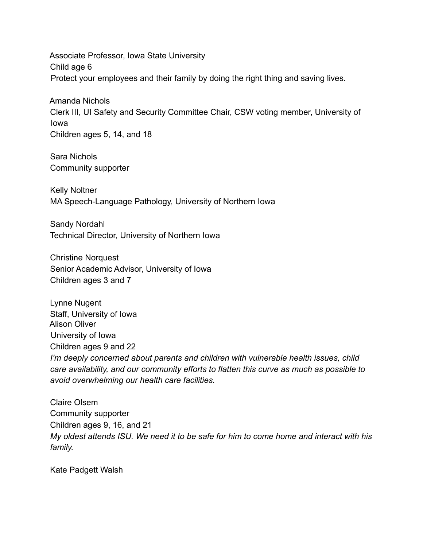Associate Professor, Iowa State University Child age 6 Protect your employees and their family by doing the right thing and saving lives.

Amanda Nichols Clerk III, UI Safety and Security Committee Chair, CSW voting member, University of Iowa Children ages 5, 14, and 18

Sara Nichols Community supporter

Kelly Noltner MA Speech-Language Pathology, University of Northern Iowa

Sandy Nordahl Technical Director, University of Northern Iowa

Christine Norquest Senior Academic Advisor, University of Iowa Children ages 3 and 7

Lynne Nugent Staff, University of Iowa Alison Oliver University of Iowa Children ages 9 and 22 *I'm deeply concerned about parents and children with vulnerable health issues, child care availability, and our community efforts to flatten this curve as much as possible to avoid overwhelming our health care facilities.*

Claire Olsem Community supporter Children ages 9, 16, and 21 *My oldest attends ISU. We need it to be safe for him to come home and interact with his family.*

Kate Padgett Walsh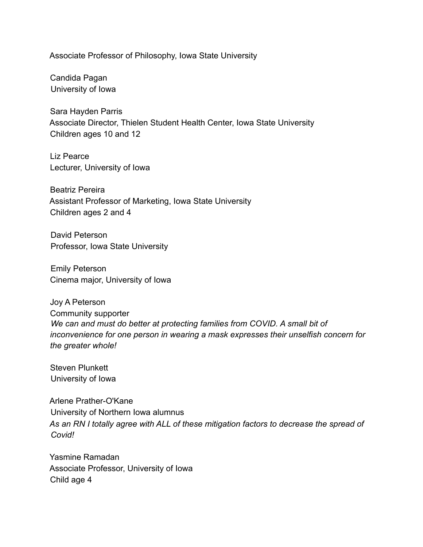Associate Professor of Philosophy, Iowa State University

Candida Pagan University of Iowa

Sara Hayden Parris Associate Director, Thielen Student Health Center, Iowa State University Children ages 10 and 12

Liz Pearce Lecturer, University of Iowa

Beatriz Pereira Assistant Professor of Marketing, Iowa State University Children ages 2 and 4

David Peterson Professor, Iowa State University

Emily Peterson Cinema major, University of Iowa

Joy A Peterson Community supporter *We can and must do better at protecting families from COVID. A small bit of inconvenience for one person in wearing a mask expresses their unselfish concern for the greater whole!*

Steven Plunkett University of Iowa

Arlene Prather-O'Kane University of Northern Iowa alumnus *As an RN I totally agree with ALL of these mitigation factors to decrease the spread of Covid!*

Yasmine Ramadan Associate Professor, University of Iowa Child age 4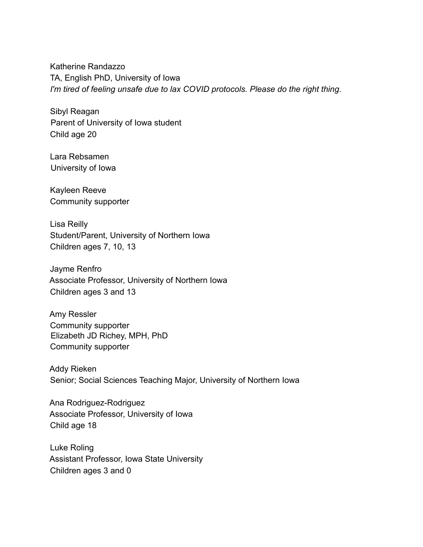Katherine Randazzo TA, English PhD, University of Iowa *I'm tired of feeling unsafe due to lax COVID protocols. Please do the right thing.*

Sibyl Reagan Parent of University of Iowa student Child age 20

Lara Rebsamen University of Iowa

Kayleen Reeve Community supporter

Lisa Reilly Student/Parent, University of Northern Iowa Children ages 7, 10, 13

Jayme Renfro Associate Professor, University of Northern Iowa Children ages 3 and 13

Amy Ressler Community supporter Elizabeth JD Richey, MPH, PhD Community supporter

Addy Rieken Senior; Social Sciences Teaching Major, University of Northern Iowa

Ana Rodriguez-Rodriguez Associate Professor, University of Iowa Child age 18

Luke Roling Assistant Professor, Iowa State University Children ages 3 and 0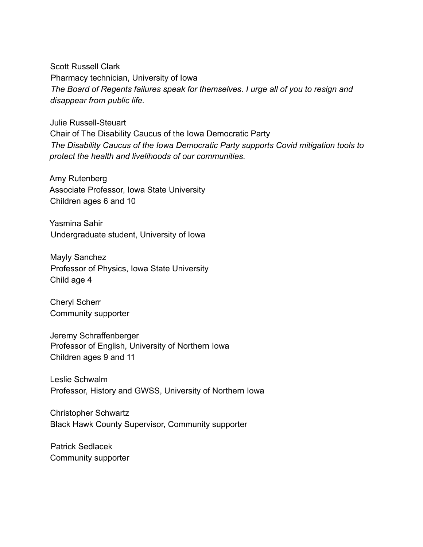Scott Russell Clark Pharmacy technician, University of Iowa *The Board of Regents failures speak for themselves. I urge all of you to resign and disappear from public life.*

Julie Russell-Steuart Chair of The Disability Caucus of the Iowa Democratic Party *The Disability Caucus of the Iowa Democratic Party supports Covid mitigation tools to protect the health and livelihoods of our communities.*

Amy Rutenberg Associate Professor, Iowa State University Children ages 6 and 10

Yasmina Sahir Undergraduate student, University of Iowa

Mayly Sanchez Professor of Physics, Iowa State University Child age 4

Cheryl Scherr Community supporter

Jeremy Schraffenberger Professor of English, University of Northern Iowa Children ages 9 and 11

Leslie Schwalm Professor, History and GWSS, University of Northern Iowa

Christopher Schwartz Black Hawk County Supervisor, Community supporter

Patrick Sedlacek Community supporter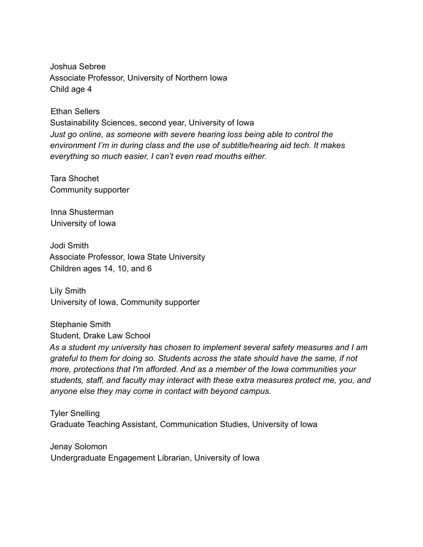Joshua Sebree Associate Professor, University of Northern Iowa Child age 4

Ethan Sellers

Sustainability Sciences, second year, University of Iowa *Just go online, as someone with severe hearing loss being able to control the environment I'm in during class and the use of subtitle/hearing aid tech. It makes everything so much easier, I can't even read mouths either.*

Tara Shochet Community supporter

Inna Shusterman University of Iowa

Jodi Smith Associate Professor, Iowa State University Children ages 14, 10, and 6

Lily Smith University of Iowa, Community supporter

Stephanie Smith Student, Drake Law School

*As a student my university has chosen to implement several safety measures and I am grateful to them for doing so. Students across the state should have the same, if not more, protections that I'm afforded. And as a member of the Iowa communities your students, staff, and faculty may interact with these extra measures protect me, you, and anyone else they may come in contact with beyond campus.*

Tyler Snelling Graduate Teaching Assistant, Communication Studies, University of Iowa

Jenay Solomon Undergraduate Engagement Librarian, University of Iowa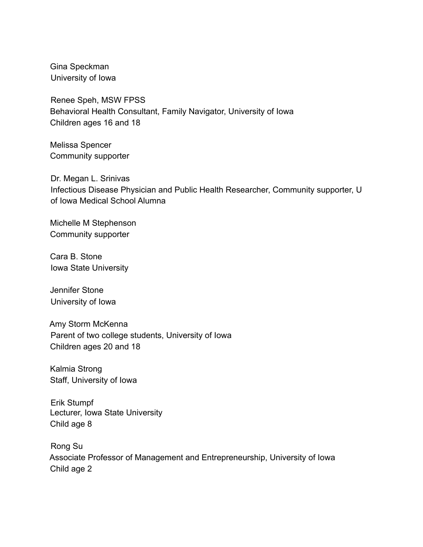Gina Speckman University of Iowa

Renee Speh, MSW FPSS Behavioral Health Consultant, Family Navigator, University of Iowa Children ages 16 and 18

Melissa Spencer Community supporter

Dr. Megan L. Srinivas Infectious Disease Physician and Public Health Researcher, Community supporter, U of Iowa Medical School Alumna

Michelle M Stephenson Community supporter

Cara B. Stone Iowa State University

Jennifer Stone University of Iowa

Amy Storm McKenna Parent of two college students, University of Iowa Children ages 20 and 18

Kalmia Strong Staff, University of Iowa

Erik Stumpf Lecturer, Iowa State University Child age 8

Rong Su Associate Professor of Management and Entrepreneurship, University of Iowa Child age 2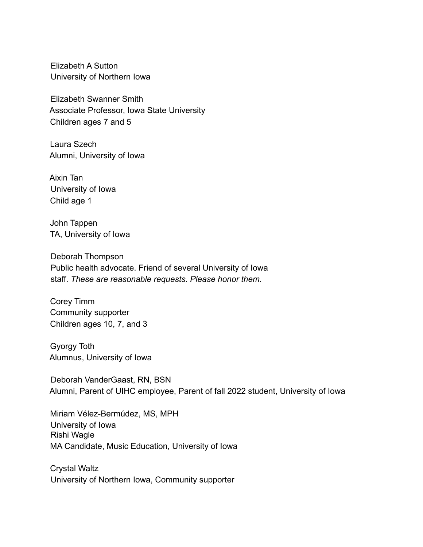Elizabeth A Sutton University of Northern Iowa

Elizabeth Swanner Smith Associate Professor, Iowa State University Children ages 7 and 5

Laura Szech Alumni, University of Iowa

Aixin Tan University of Iowa Child age 1

John Tappen TA, University of Iowa

Deborah Thompson Public health advocate. Friend of several University of Iowa staff. *These are reasonable requests. Please honor them.*

Corey Timm Community supporter Children ages 10, 7, and 3

Gyorgy Toth Alumnus, University of Iowa

Deborah VanderGaast, RN, BSN Alumni, Parent of UIHC employee, Parent of fall 2022 student, University of Iowa

Miriam Vélez-Bermúdez, MS, MPH University of Iowa Rishi Wagle MA Candidate, Music Education, University of Iowa

Crystal Waltz University of Northern Iowa, Community supporter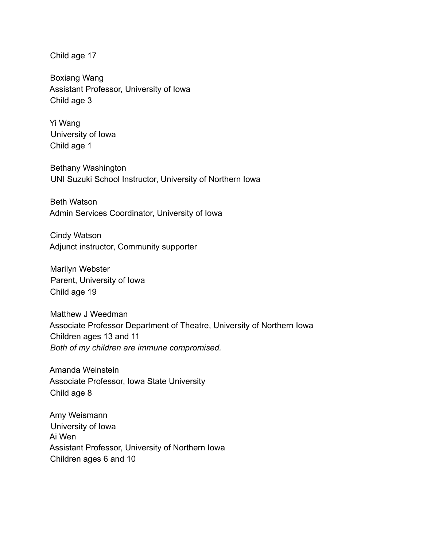Child age 17

Boxiang Wang Assistant Professor, University of Iowa Child age 3

Yi Wang University of Iowa Child age 1

Bethany Washington UNI Suzuki School Instructor, University of Northern Iowa

Beth Watson Admin Services Coordinator, University of Iowa

Cindy Watson Adjunct instructor, Community supporter

Marilyn Webster Parent, University of Iowa Child age 19

Matthew J Weedman Associate Professor Department of Theatre, University of Northern Iowa Children ages 13 and 11 *Both of my children are immune compromised.*

Amanda Weinstein Associate Professor, Iowa State University Child age 8

Amy Weismann University of Iowa Ai Wen Assistant Professor, University of Northern Iowa Children ages 6 and 10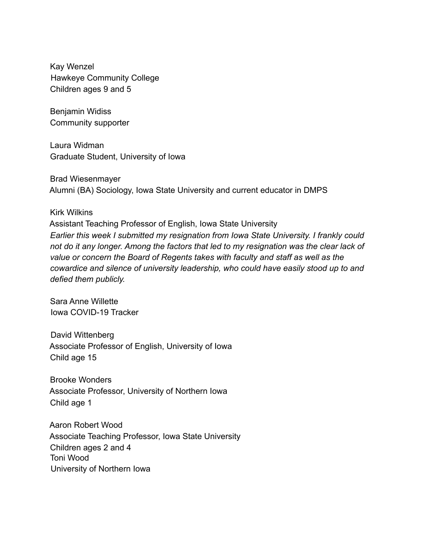Kay Wenzel Hawkeye Community College Children ages 9 and 5

Benjamin Widiss Community supporter

Laura Widman Graduate Student, University of Iowa

Brad Wiesenmayer Alumni (BA) Sociology, Iowa State University and current educator in DMPS

## Kirk Wilkins

Assistant Teaching Professor of English, Iowa State University *Earlier this week I submitted my resignation from Iowa State University. I frankly could not do it any longer. Among the factors that led to my resignation was the clear lack of value or concern the Board of Regents takes with faculty and staff as well as the cowardice and silence of university leadership, who could have easily stood up to and defied them publicly.*

Sara Anne Willette Iowa COVID-19 Tracker

David Wittenberg Associate Professor of English, University of Iowa Child age 15

Brooke Wonders Associate Professor, University of Northern Iowa Child age 1

Aaron Robert Wood Associate Teaching Professor, Iowa State University Children ages 2 and 4 Toni Wood University of Northern Iowa